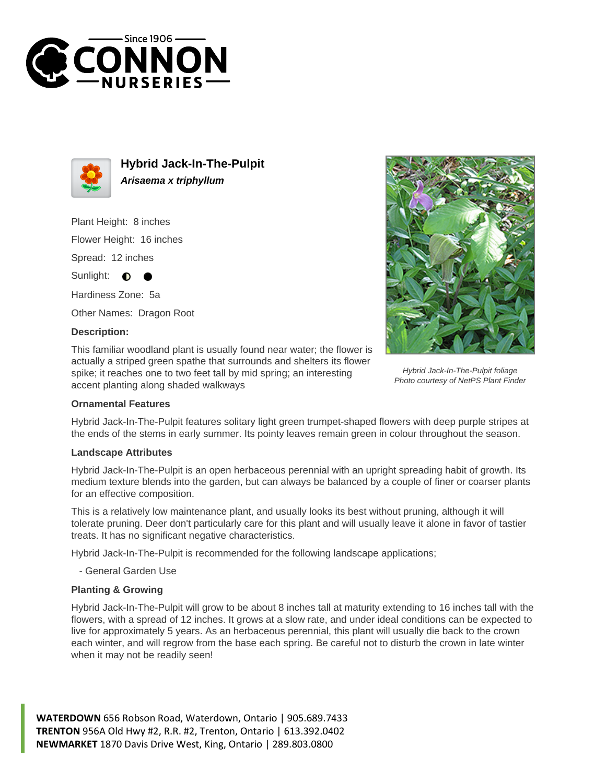



**Hybrid Jack-In-The-Pulpit Arisaema x triphyllum**

Plant Height: 8 inches Flower Height: 16 inches Spread: 12 inches Sunlight: **O** 

Hardiness Zone: 5a

Other Names: Dragon Root

## **Description:**

This familiar woodland plant is usually found near water; the flower is actually a striped green spathe that surrounds and shelters its flower spike; it reaches one to two feet tall by mid spring; an interesting accent planting along shaded walkways



Hybrid Jack-In-The-Pulpit foliage Photo courtesy of NetPS Plant Finder

## **Ornamental Features**

Hybrid Jack-In-The-Pulpit features solitary light green trumpet-shaped flowers with deep purple stripes at the ends of the stems in early summer. Its pointy leaves remain green in colour throughout the season.

## **Landscape Attributes**

Hybrid Jack-In-The-Pulpit is an open herbaceous perennial with an upright spreading habit of growth. Its medium texture blends into the garden, but can always be balanced by a couple of finer or coarser plants for an effective composition.

This is a relatively low maintenance plant, and usually looks its best without pruning, although it will tolerate pruning. Deer don't particularly care for this plant and will usually leave it alone in favor of tastier treats. It has no significant negative characteristics.

Hybrid Jack-In-The-Pulpit is recommended for the following landscape applications;

- General Garden Use

## **Planting & Growing**

Hybrid Jack-In-The-Pulpit will grow to be about 8 inches tall at maturity extending to 16 inches tall with the flowers, with a spread of 12 inches. It grows at a slow rate, and under ideal conditions can be expected to live for approximately 5 years. As an herbaceous perennial, this plant will usually die back to the crown each winter, and will regrow from the base each spring. Be careful not to disturb the crown in late winter when it may not be readily seen!

**WATERDOWN** 656 Robson Road, Waterdown, Ontario | 905.689.7433 **TRENTON** 956A Old Hwy #2, R.R. #2, Trenton, Ontario | 613.392.0402 **NEWMARKET** 1870 Davis Drive West, King, Ontario | 289.803.0800